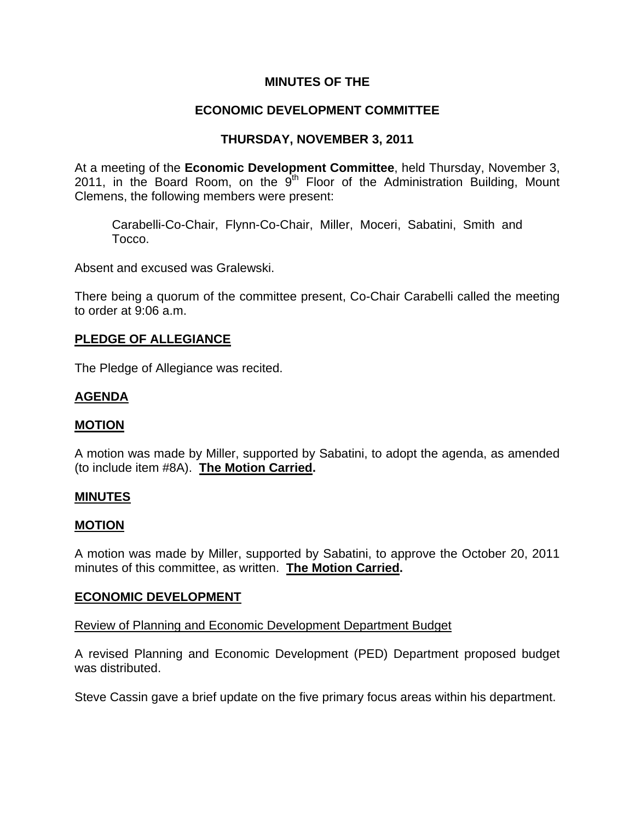## **MINUTES OF THE**

## **ECONOMIC DEVELOPMENT COMMITTEE**

## **THURSDAY, NOVEMBER 3, 2011**

At a meeting of the **Economic Development Committee**, held Thursday, November 3, 2011, in the Board Room, on the  $9<sup>th</sup>$  Floor of the Administration Building, Mount Clemens, the following members were present:

Carabelli-Co-Chair, Flynn-Co-Chair, Miller, Moceri, Sabatini, Smith and Tocco.

Absent and excused was Gralewski.

There being a quorum of the committee present, Co-Chair Carabelli called the meeting to order at 9:06 a.m.

### **PLEDGE OF ALLEGIANCE**

The Pledge of Allegiance was recited.

#### **AGENDA**

#### **MOTION**

A motion was made by Miller, supported by Sabatini, to adopt the agenda, as amended (to include item #8A). **The Motion Carried.** 

#### **MINUTES**

#### **MOTION**

A motion was made by Miller, supported by Sabatini, to approve the October 20, 2011 minutes of this committee, as written. **The Motion Carried.** 

#### **ECONOMIC DEVELOPMENT**

Review of Planning and Economic Development Department Budget

A revised Planning and Economic Development (PED) Department proposed budget was distributed.

Steve Cassin gave a brief update on the five primary focus areas within his department.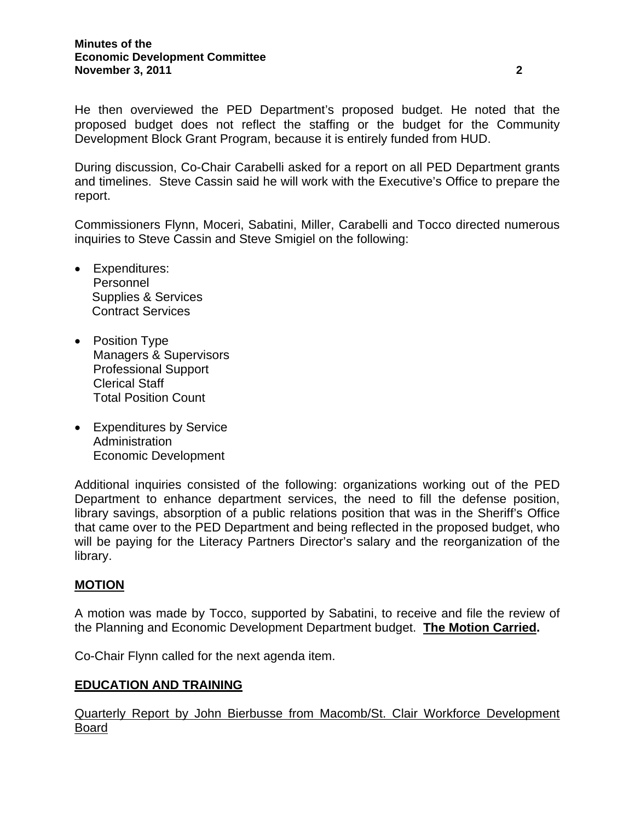He then overviewed the PED Department's proposed budget. He noted that the proposed budget does not reflect the staffing or the budget for the Community Development Block Grant Program, because it is entirely funded from HUD.

During discussion, Co-Chair Carabelli asked for a report on all PED Department grants and timelines. Steve Cassin said he will work with the Executive's Office to prepare the report.

Commissioners Flynn, Moceri, Sabatini, Miller, Carabelli and Tocco directed numerous inquiries to Steve Cassin and Steve Smigiel on the following:

- Expenditures: Personnel Supplies & Services Contract Services
- Position Type Managers & Supervisors Professional Support Clerical Staff Total Position Count
- Expenditures by Service Administration Economic Development

Additional inquiries consisted of the following: organizations working out of the PED Department to enhance department services, the need to fill the defense position, library savings, absorption of a public relations position that was in the Sheriff's Office that came over to the PED Department and being reflected in the proposed budget, who will be paying for the Literacy Partners Director's salary and the reorganization of the library.

### **MOTION**

A motion was made by Tocco, supported by Sabatini, to receive and file the review of the Planning and Economic Development Department budget. **The Motion Carried.** 

Co-Chair Flynn called for the next agenda item.

#### **EDUCATION AND TRAINING**

Quarterly Report by John Bierbusse from Macomb/St. Clair Workforce Development Board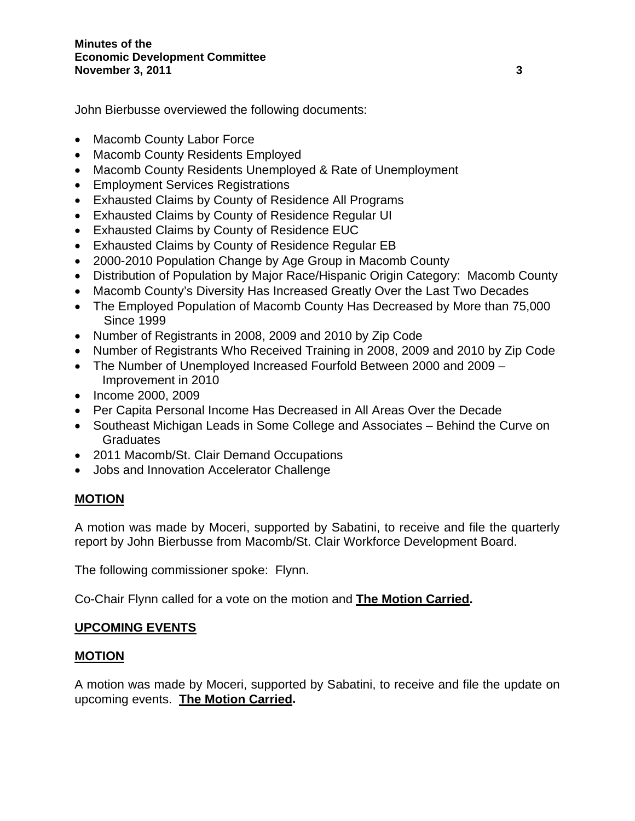John Bierbusse overviewed the following documents:

- Macomb County Labor Force
- Macomb County Residents Employed
- Macomb County Residents Unemployed & Rate of Unemployment
- Employment Services Registrations
- Exhausted Claims by County of Residence All Programs
- Exhausted Claims by County of Residence Regular UI
- Exhausted Claims by County of Residence EUC
- Exhausted Claims by County of Residence Regular EB
- 2000-2010 Population Change by Age Group in Macomb County
- Distribution of Population by Major Race/Hispanic Origin Category: Macomb County
- Macomb County's Diversity Has Increased Greatly Over the Last Two Decades
- The Employed Population of Macomb County Has Decreased by More than 75,000 Since 1999
- Number of Registrants in 2008, 2009 and 2010 by Zip Code
- Number of Registrants Who Received Training in 2008, 2009 and 2010 by Zip Code
- The Number of Unemployed Increased Fourfold Between 2000 and 2009 Improvement in 2010
- Income 2000, 2009
- Per Capita Personal Income Has Decreased in All Areas Over the Decade
- Southeast Michigan Leads in Some College and Associates Behind the Curve on **Graduates**
- 2011 Macomb/St. Clair Demand Occupations
- Jobs and Innovation Accelerator Challenge

### **MOTION**

A motion was made by Moceri, supported by Sabatini, to receive and file the quarterly report by John Bierbusse from Macomb/St. Clair Workforce Development Board.

The following commissioner spoke: Flynn.

Co-Chair Flynn called for a vote on the motion and **The Motion Carried.** 

### **UPCOMING EVENTS**

### **MOTION**

A motion was made by Moceri, supported by Sabatini, to receive and file the update on upcoming events. **The Motion Carried.**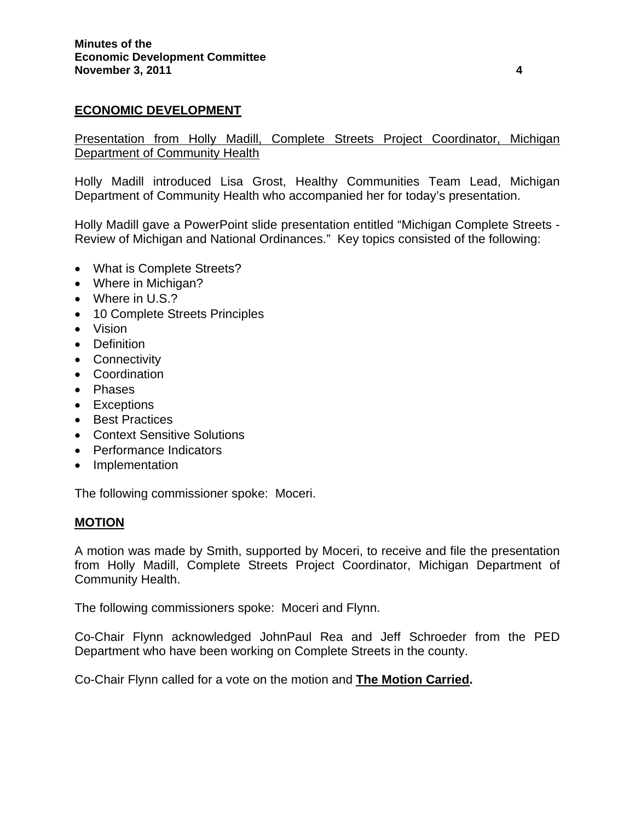### **ECONOMIC DEVELOPMENT**

Presentation from Holly Madill, Complete Streets Project Coordinator, Michigan **Department of Community Health** 

Holly Madill introduced Lisa Grost, Healthy Communities Team Lead, Michigan Department of Community Health who accompanied her for today's presentation.

Holly Madill gave a PowerPoint slide presentation entitled "Michigan Complete Streets - Review of Michigan and National Ordinances." Key topics consisted of the following:

- What is Complete Streets?
- Where in Michigan?
- Where in U.S.?
- 10 Complete Streets Principles
- Vision
- Definition
- Connectivity
- Coordination
- Phases
- Exceptions
- Best Practices
- Context Sensitive Solutions
- Performance Indicators
- Implementation

The following commissioner spoke: Moceri.

#### **MOTION**

A motion was made by Smith, supported by Moceri, to receive and file the presentation from Holly Madill, Complete Streets Project Coordinator, Michigan Department of Community Health.

The following commissioners spoke: Moceri and Flynn.

Co-Chair Flynn acknowledged JohnPaul Rea and Jeff Schroeder from the PED Department who have been working on Complete Streets in the county.

Co-Chair Flynn called for a vote on the motion and **The Motion Carried.**